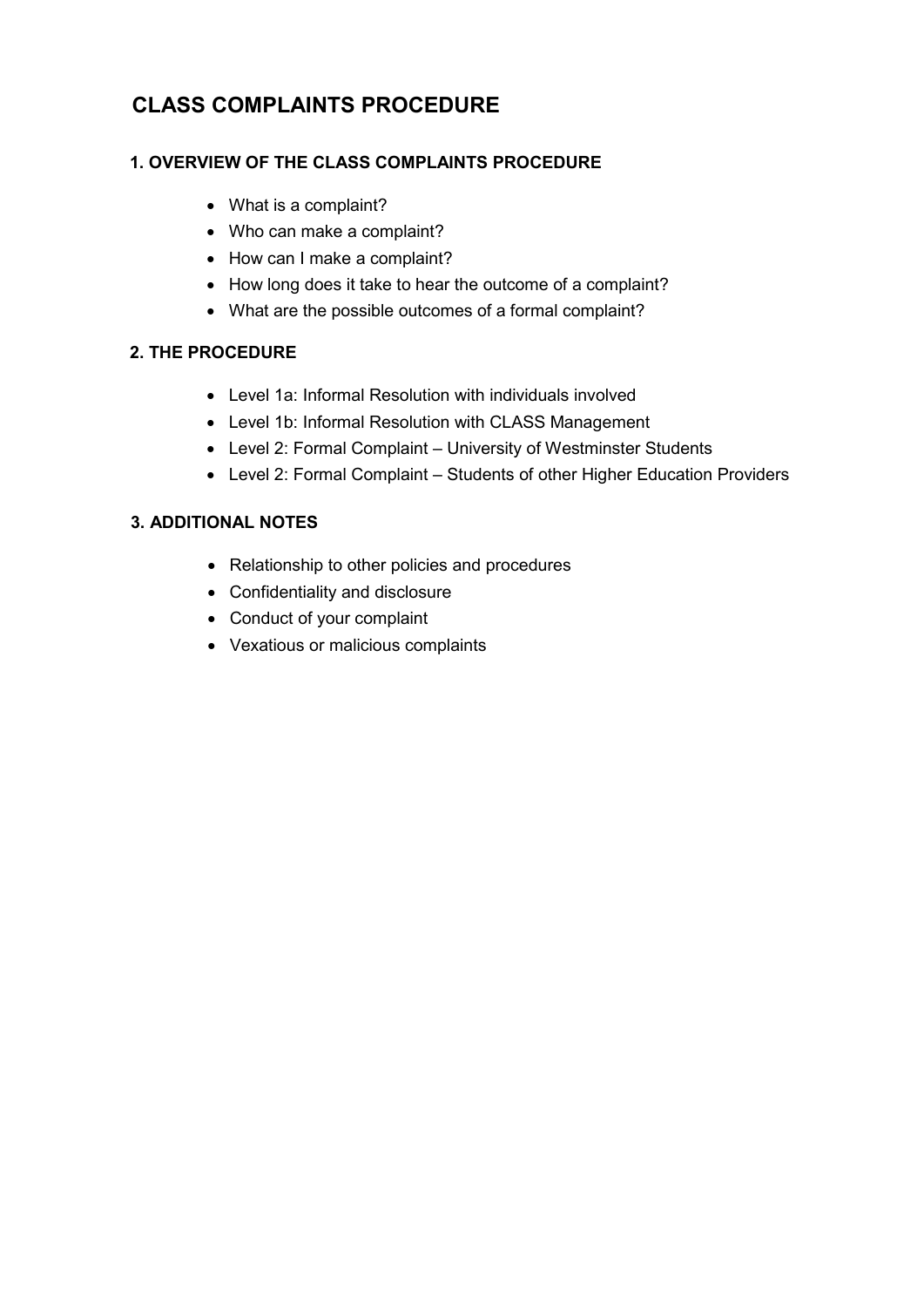# **CLASS COMPLAINTS PROCEDURE**

# **1. OVERVIEW OF THE CLASS COMPLAINTS PROCEDURE**

- What is a complaint?
- Who can make a complaint?
- How can I make a complaint?
- How long does it take to hear the outcome of a complaint?
- What are the possible outcomes of a formal complaint?

# **2. THE PROCEDURE**

- Level 1a: Informal Resolution with individuals involved
- Level 1b: Informal Resolution with CLASS Management
- Level 2: Formal Complaint University of Westminster Students
- Level 2: Formal Complaint Students of other Higher Education Providers

# **3. ADDITIONAL NOTES**

- Relationship to other policies and procedures
- Confidentiality and disclosure
- Conduct of your complaint
- Vexatious or malicious complaints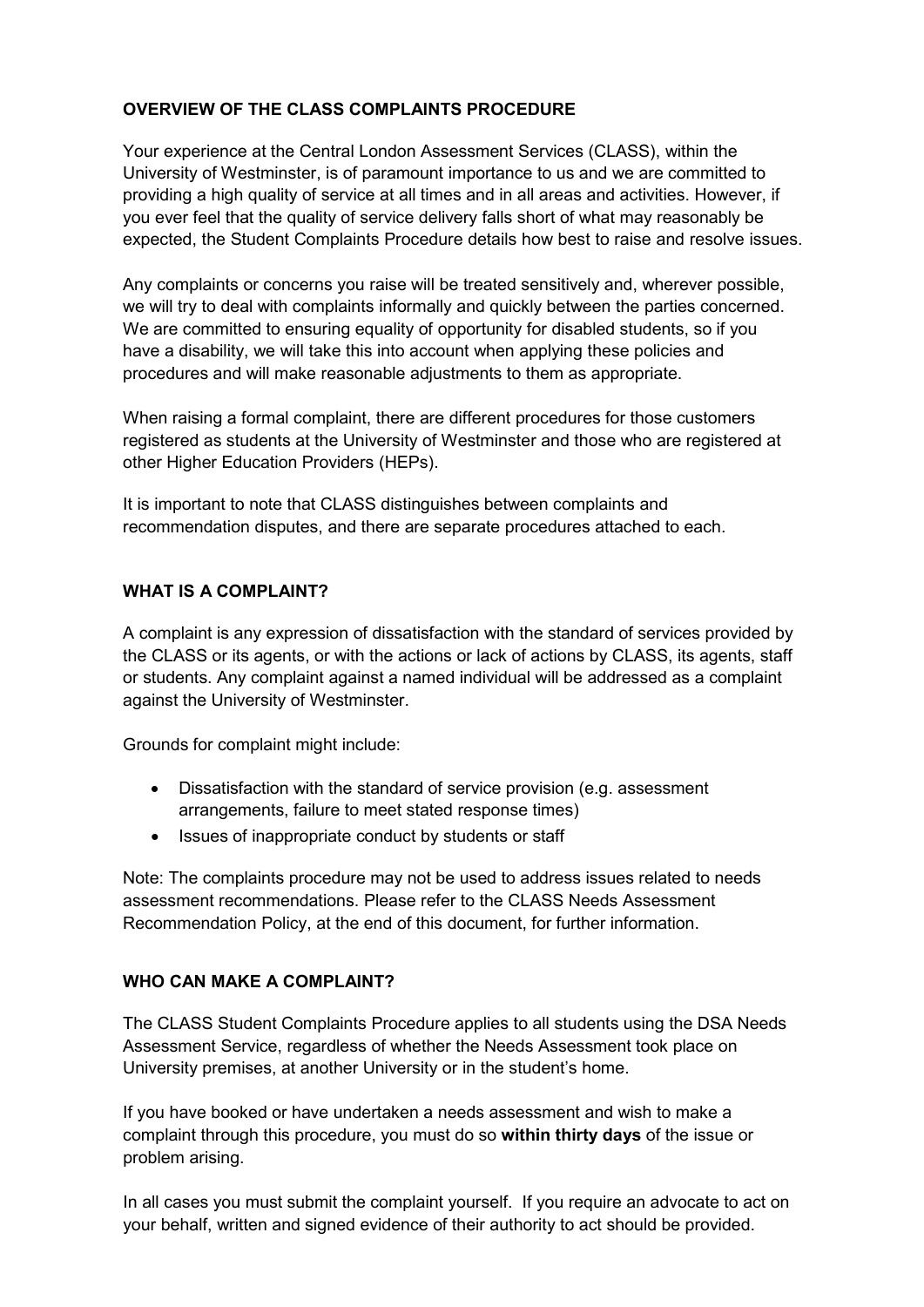# **OVERVIEW OF THE CLASS COMPLAINTS PROCEDURE**

Your experience at the Central London Assessment Services (CLASS), within the University of Westminster, is of paramount importance to us and we are committed to providing a high quality of service at all times and in all areas and activities. However, if you ever feel that the quality of service delivery falls short of what may reasonably be expected, the Student Complaints Procedure details how best to raise and resolve issues.

Any complaints or concerns you raise will be treated sensitively and, wherever possible, we will try to deal with complaints informally and quickly between the parties concerned. We are committed to ensuring equality of opportunity for disabled students, so if you have a disability, we will take this into account when applying these policies and procedures and will make reasonable adjustments to them as appropriate.

When raising a formal complaint, there are different procedures for those customers registered as students at the University of Westminster and those who are registered at other Higher Education Providers (HEPs).

It is important to note that CLASS distinguishes between complaints and recommendation disputes, and there are separate procedures attached to each.

#### **WHAT IS A COMPLAINT?**

A complaint is any expression of dissatisfaction with the standard of services provided by the CLASS or its agents, or with the actions or lack of actions by CLASS, its agents, staff or students. Any complaint against a named individual will be addressed as a complaint against the University of Westminster.

Grounds for complaint might include:

- Dissatisfaction with the standard of service provision (e.g. assessment arrangements, failure to meet stated response times)
- Issues of inappropriate conduct by students or staff

Note: The complaints procedure may not be used to address issues related to needs assessment recommendations. Please refer to the CLASS Needs Assessment Recommendation Policy, at the end of this document, for further information.

#### **WHO CAN MAKE A COMPLAINT?**

The CLASS Student Complaints Procedure applies to all students using the DSA Needs Assessment Service, regardless of whether the Needs Assessment took place on University premises, at another University or in the student's home.

If you have booked or have undertaken a needs assessment and wish to make a complaint through this procedure, you must do so **within thirty days** of the issue or problem arising.

In all cases you must submit the complaint yourself. If you require an advocate to act on your behalf, written and signed evidence of their authority to act should be provided.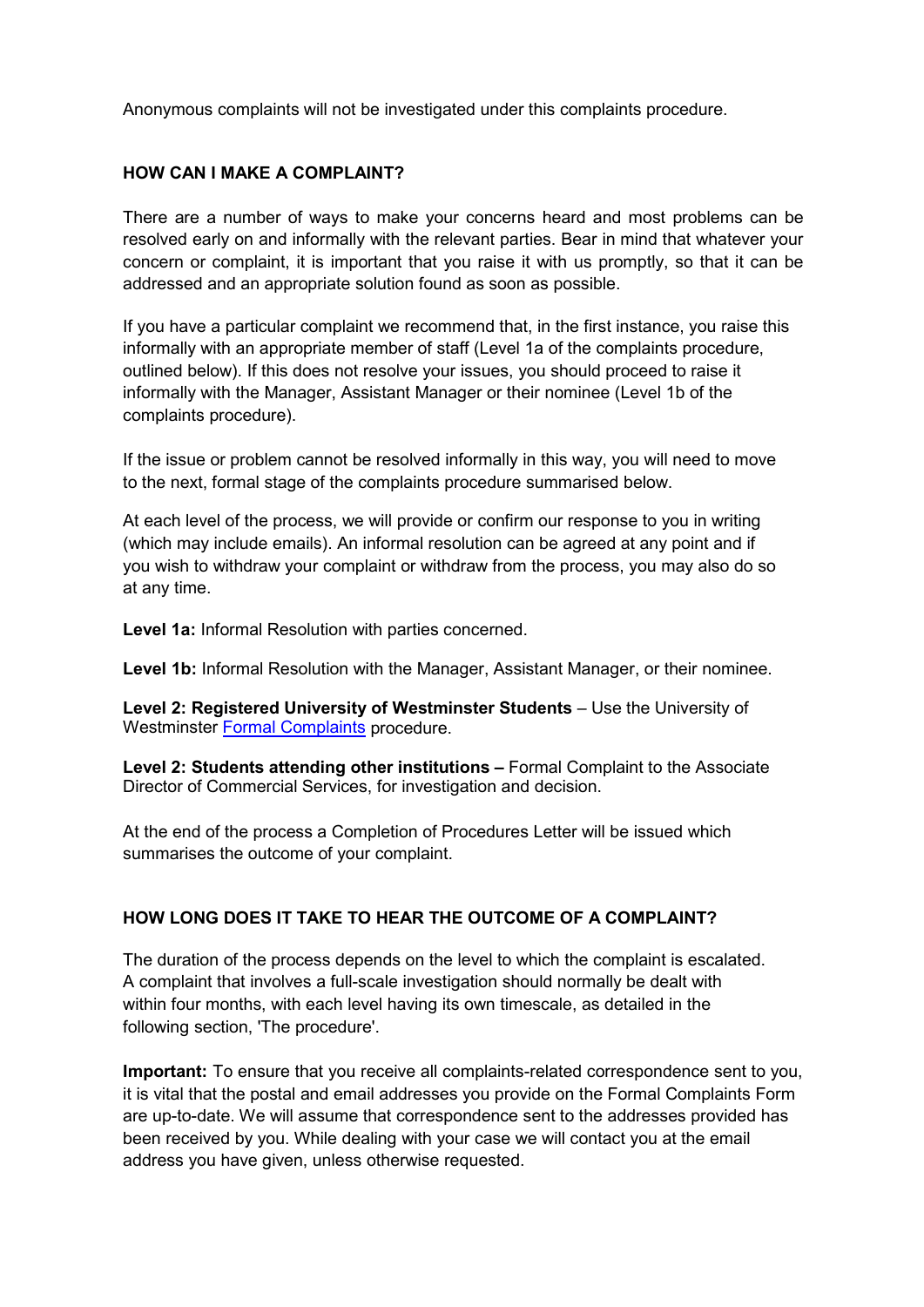Anonymous complaints will not be investigated under this complaints procedure.

#### **HOW CAN I MAKE A COMPLAINT?**

There are a number of ways to make your concerns heard and most problems can be resolved early on and informally with the relevant parties. Bear in mind that whatever your concern or complaint, it is important that you raise it with us promptly, so that it can be addressed and an appropriate solution found as soon as possible.

If you have a particular complaint we recommend that, in the first instance, you raise this informally with an appropriate member of staff (Level 1a of the complaints procedure, outlined below). If this does not resolve your issues, you should proceed to raise it informally with the Manager, Assistant Manager or their nominee (Level 1b of the complaints procedure).

If the issue or problem cannot be resolved informally in this way, you will need to move to the next, formal stage of the complaints procedure summarised below.

At each level of the process, we will provide or confirm our response to you in writing (which may include emails). An informal resolution can be agreed at any point and if you wish to withdraw your complaint or withdraw from the process, you may also do so at any time.

**Level 1a:** Informal Resolution with parties concerned.

**Level 1b:** Informal Resolution with the Manager, Assistant Manager, or their nominee.

**Level 2: Registered University of Westminster Students** – Use the University of Westminster [Formal Complaints](https://www.westminster.ac.uk/sites/default/public-files/general-documents/Student-complaints-procedure.pdf) procedure.

**Level 2: Students attending other institutions –** Formal Complaint to the Associate Director of Commercial Services, for investigation and decision.

At the end of the process a Completion of Procedures Letter will be issued which summarises the outcome of your complaint.

#### **HOW LONG DOES IT TAKE TO HEAR THE OUTCOME OF A COMPLAINT?**

The duration of the process depends on the level to which the complaint is escalated. A complaint that involves a full-scale investigation should normally be dealt with within four months, with each level having its own timescale, as detailed in the following section, 'The procedure'.

**Important:** To ensure that you receive all complaints-related correspondence sent to you, it is vital that the postal and email addresses you provide on the Formal Complaints Form are up-to-date. We will assume that correspondence sent to the addresses provided has been received by you. While dealing with your case we will contact you at the email address you have given, unless otherwise requested.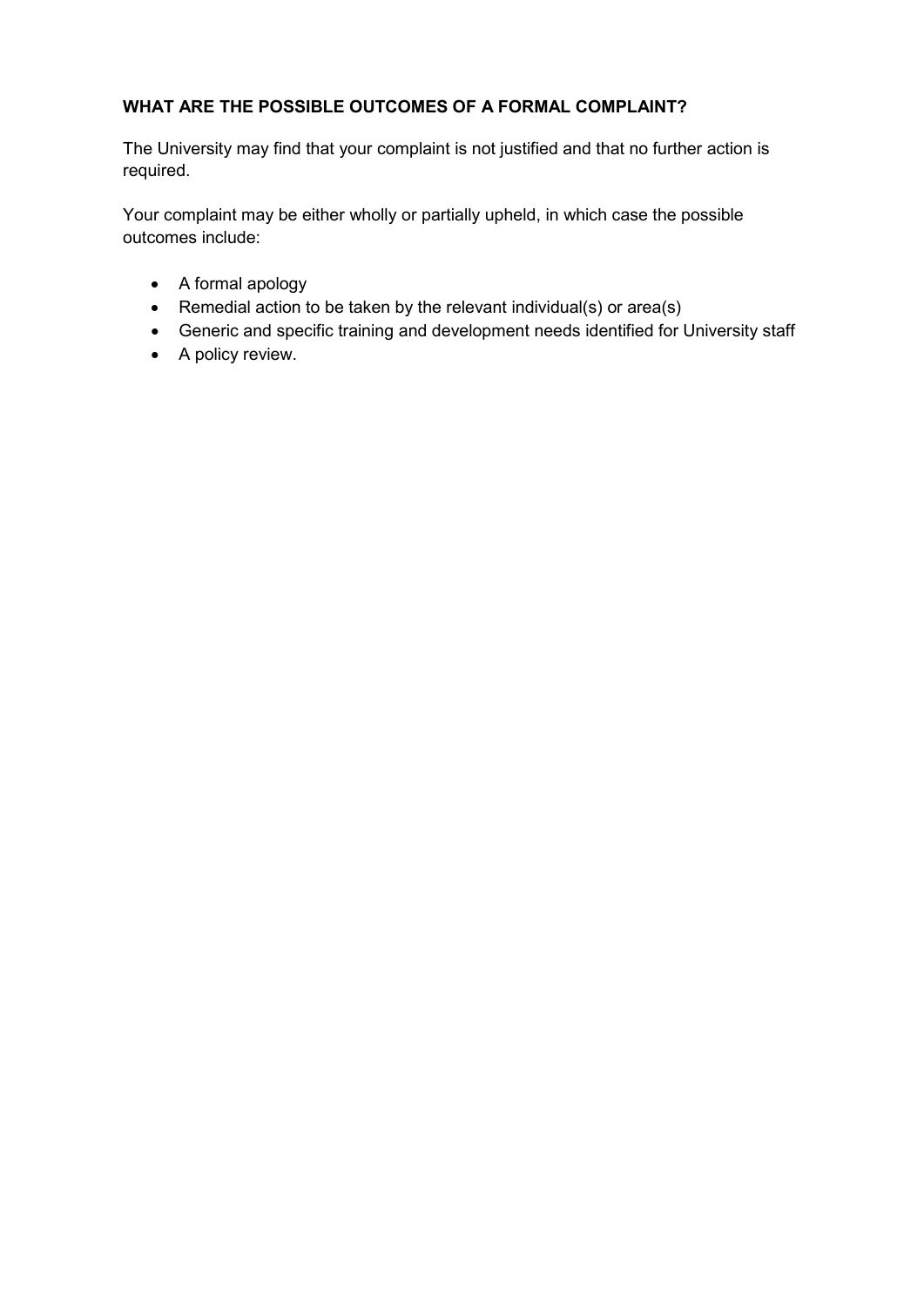# **WHAT ARE THE POSSIBLE OUTCOMES OF A FORMAL COMPLAINT?**

The University may find that your complaint is not justified and that no further action is required.

Your complaint may be either wholly or partially upheld, in which case the possible outcomes include:

- A formal apology
- Remedial action to be taken by the relevant individual(s) or area(s)
- Generic and specific training and development needs identified for University staff
- A policy review.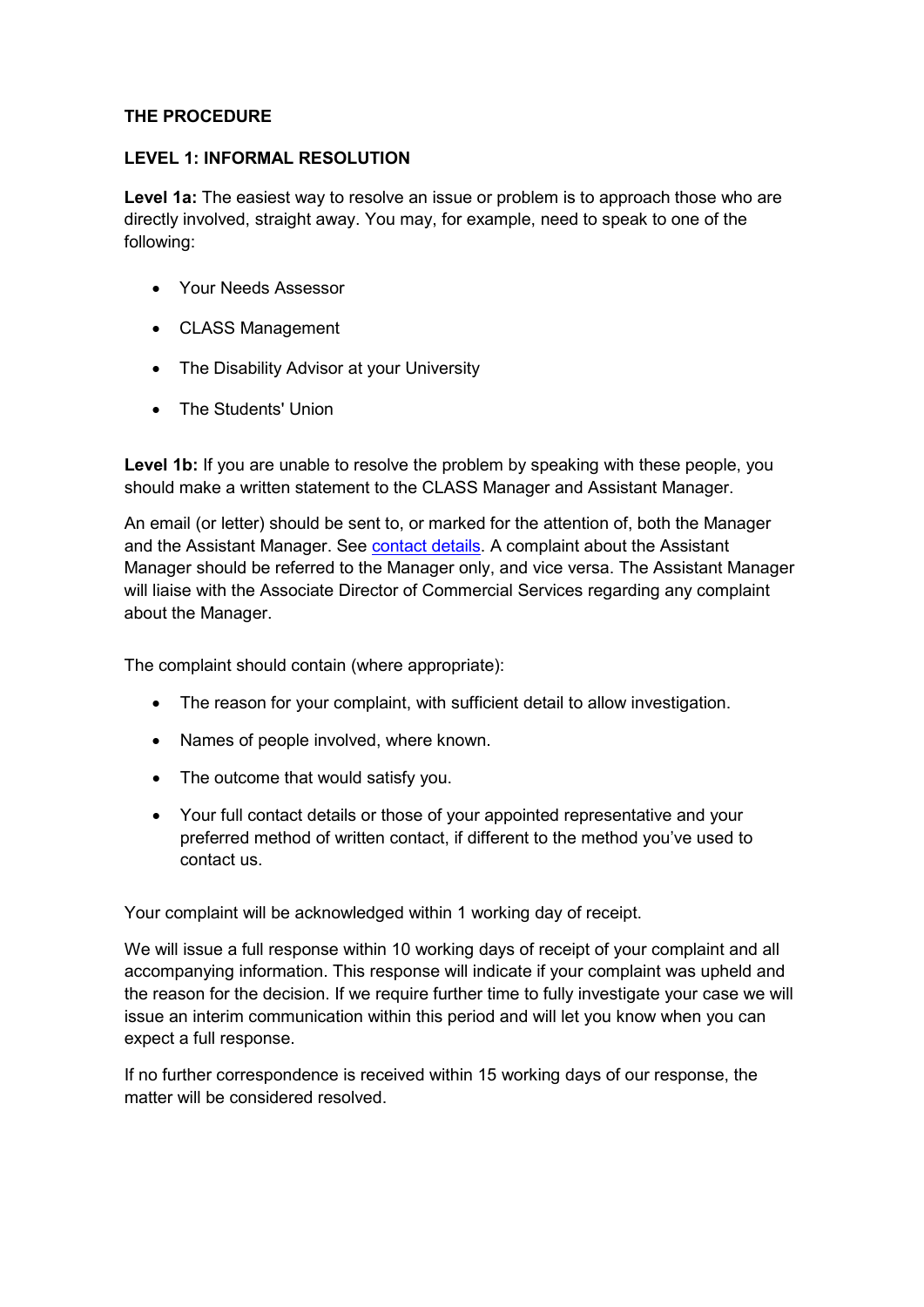## **THE PROCEDURE**

#### **LEVEL 1: INFORMAL RESOLUTION**

**Level 1a:** The easiest way to resolve an issue or problem is to approach those who are directly involved, straight away. You may, for example, need to speak to one of the following:

- Your Needs Assessor
- CLASS Management
- The Disability Advisor at your University
- The Students' Union

Level 1b: If you are unable to resolve the problem by speaking with these people, you should make a written statement to the CLASS Manager and Assistant Manager.

An email (or letter) should be sent to, or marked for the attention of, both the Manager and the Assistant Manager. See [contact details.](http://blog.westminster.ac.uk/class/contact-us/) A complaint about the Assistant Manager should be referred to the Manager only, and vice versa. The Assistant Manager will liaise with the Associate Director of Commercial Services regarding any complaint about the Manager.

The complaint should contain (where appropriate):

- The reason for your complaint, with sufficient detail to allow investigation.
- Names of people involved, where known.
- The outcome that would satisfy you.
- Your full contact details or those of your appointed representative and your preferred method of written contact, if different to the method you've used to contact us.

Your complaint will be acknowledged within 1 working day of receipt.

We will issue a full response within 10 working days of receipt of your complaint and all accompanying information. This response will indicate if your complaint was upheld and the reason for the decision. If we require further time to fully investigate your case we will issue an interim communication within this period and will let you know when you can expect a full response.

If no further correspondence is received within 15 working days of our response, the matter will be considered resolved.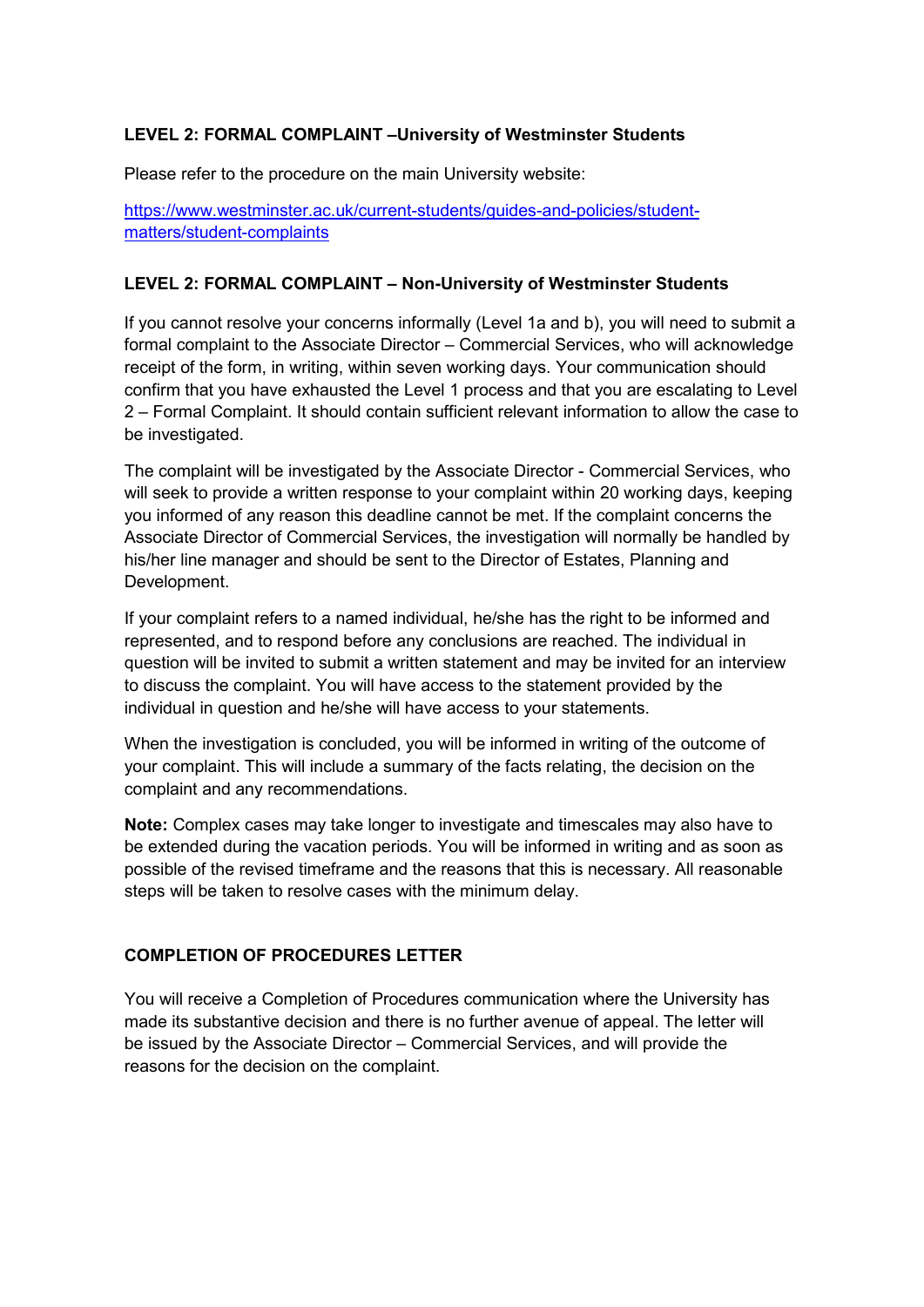# **LEVEL 2: FORMAL COMPLAINT –University of Westminster Students**

Please refer to the procedure on the main University website:

[https://www.westminster.ac.uk/current-students/guides-and-policies/student](https://www.westminster.ac.uk/current-students/guides-and-policies/student-matters/student-complaints)[matters/student-complaints](https://www.westminster.ac.uk/current-students/guides-and-policies/student-matters/student-complaints)

#### **LEVEL 2: FORMAL COMPLAINT – Non-University of Westminster Students**

If you cannot resolve your concerns informally (Level 1a and b), you will need to submit a formal complaint to the Associate Director – Commercial Services, who will acknowledge receipt of the form, in writing, within seven working days. Your communication should confirm that you have exhausted the Level 1 process and that you are escalating to Level 2 – Formal Complaint. It should contain sufficient relevant information to allow the case to be investigated.

The complaint will be investigated by the Associate Director - Commercial Services, who will seek to provide a written response to your complaint within 20 working days, keeping you informed of any reason this deadline cannot be met. If the complaint concerns the Associate Director of Commercial Services, the investigation will normally be handled by his/her line manager and should be sent to the Director of Estates, Planning and Development.

If your complaint refers to a named individual, he/she has the right to be informed and represented, and to respond before any conclusions are reached. The individual in question will be invited to submit a written statement and may be invited for an interview to discuss the complaint. You will have access to the statement provided by the individual in question and he/she will have access to your statements.

When the investigation is concluded, you will be informed in writing of the outcome of your complaint. This will include a summary of the facts relating, the decision on the complaint and any recommendations.

**Note:** Complex cases may take longer to investigate and timescales may also have to be extended during the vacation periods. You will be informed in writing and as soon as possible of the revised timeframe and the reasons that this is necessary. All reasonable steps will be taken to resolve cases with the minimum delay.

#### **COMPLETION OF PROCEDURES LETTER**

You will receive a Completion of Procedures communication where the University has made its substantive decision and there is no further avenue of appeal. The letter will be issued by the Associate Director – Commercial Services, and will provide the reasons for the decision on the complaint.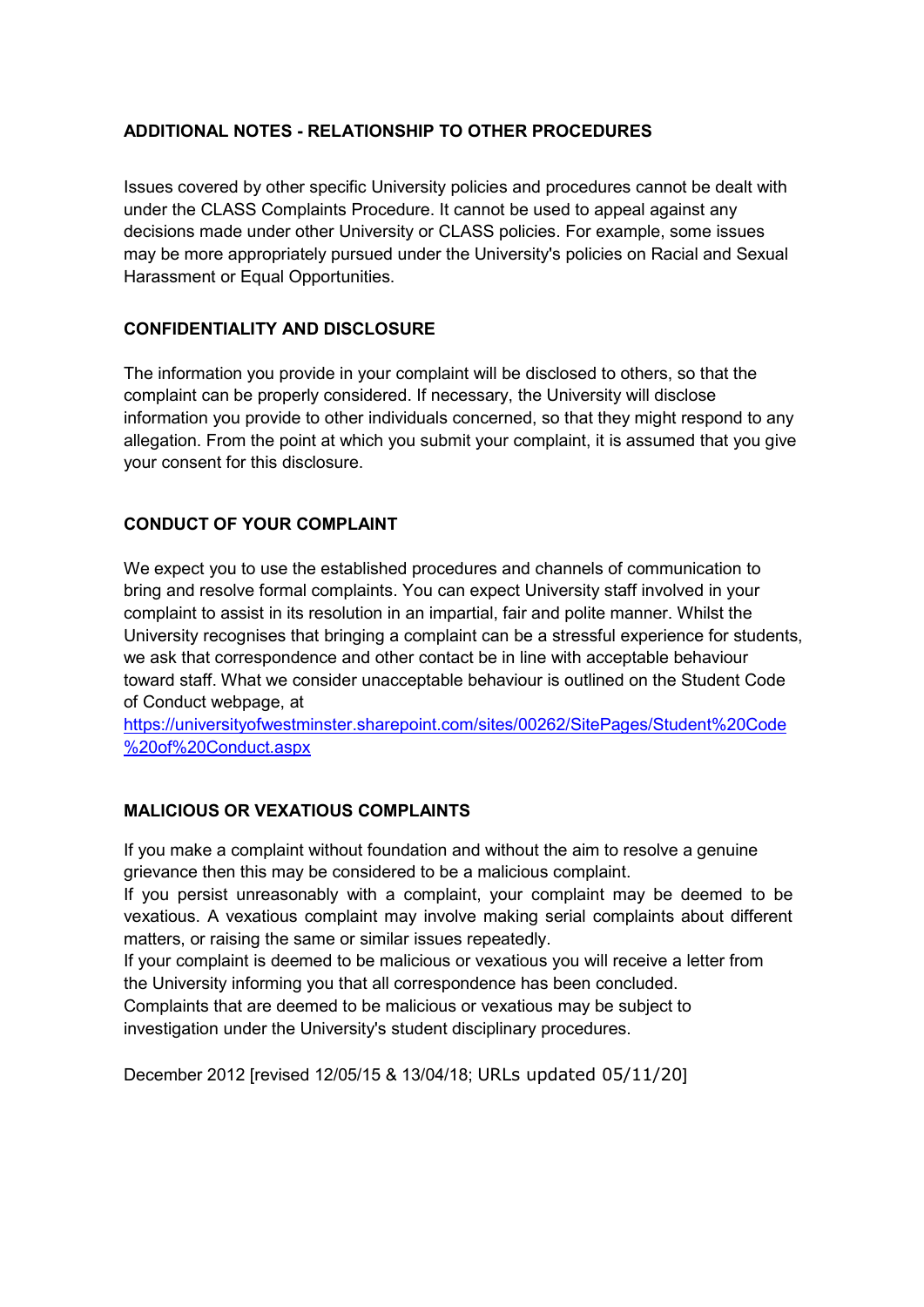# **ADDITIONAL NOTES - RELATIONSHIP TO OTHER PROCEDURES**

Issues covered by other specific University policies and procedures cannot be dealt with under the CLASS Complaints Procedure. It cannot be used to appeal against any decisions made under other University or CLASS policies. For example, some issues may be more appropriately pursued under the University's policies on Racial and Sexual Harassment or Equal Opportunities.

# **CONFIDENTIALITY AND DISCLOSURE**

The information you provide in your complaint will be disclosed to others, so that the complaint can be properly considered. If necessary, the University will disclose information you provide to other individuals concerned, so that they might respond to any allegation. From the point at which you submit your complaint, it is assumed that you give your consent for this disclosure.

# **CONDUCT OF YOUR COMPLAINT**

We expect you to use the established procedures and channels of communication to bring and resolve formal complaints. You can expect University staff involved in your complaint to assist in its resolution in an impartial, fair and polite manner. Whilst the University recognises that bringing a complaint can be a stressful experience for students, we ask that correspondence and other contact be in line with acceptable behaviour toward staff. What we consider unacceptable behaviour is outlined on the Student Code of Conduct webpage, at

[https://universityofwestminster.sharepoint.com/sites/00262/SitePages/Student%20Code](https://universityofwestminster.sharepoint.com/sites/00262/SitePages/Student%20Code%20of%20Conduct.aspx) [%20of%20Conduct.aspx](https://universityofwestminster.sharepoint.com/sites/00262/SitePages/Student%20Code%20of%20Conduct.aspx)

# **MALICIOUS OR VEXATIOUS COMPLAINTS**

If you make a complaint without foundation and without the aim to resolve a genuine grievance then this may be considered to be a malicious complaint.

If you persist unreasonably with a complaint, your complaint may be deemed to be vexatious. A vexatious complaint may involve making serial complaints about different matters, or raising the same or similar issues repeatedly.

If your complaint is deemed to be malicious or vexatious you will receive a letter from the University informing you that all correspondence has been concluded.

Complaints that are deemed to be malicious or vexatious may be subject to investigation under the University's student disciplinary procedures.

December 2012 [revised 12/05/15 & 13/04/18; URLs updated 05/11/20]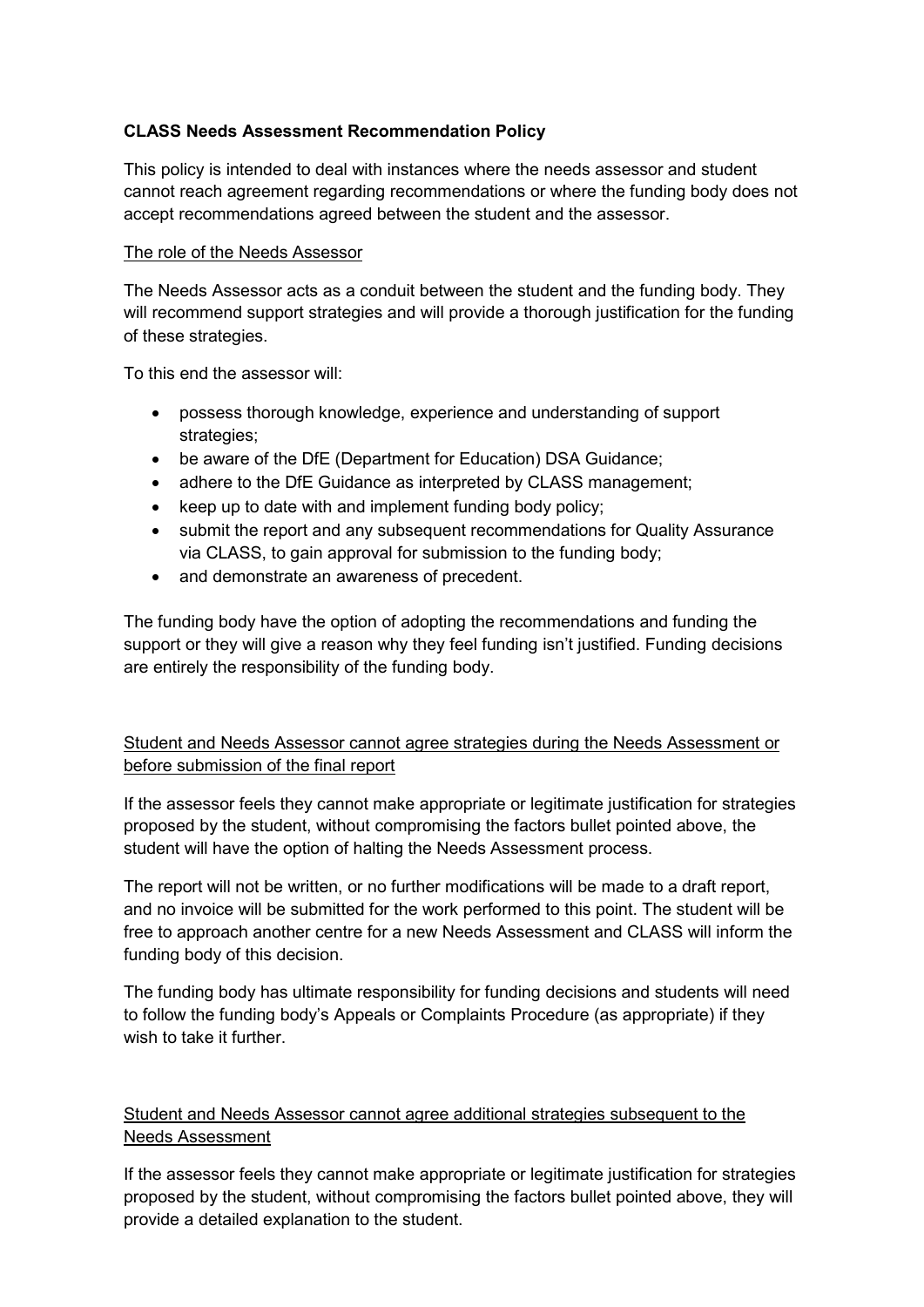# **CLASS Needs Assessment Recommendation Policy**

This policy is intended to deal with instances where the needs assessor and student cannot reach agreement regarding recommendations or where the funding body does not accept recommendations agreed between the student and the assessor.

#### The role of the Needs Assessor

The Needs Assessor acts as a conduit between the student and the funding body. They will recommend support strategies and will provide a thorough justification for the funding of these strategies.

To this end the assessor will:

- possess thorough knowledge, experience and understanding of support strategies;
- be aware of the DfE (Department for Education) DSA Guidance;
- adhere to the DfE Guidance as interpreted by CLASS management;
- keep up to date with and implement funding body policy;
- submit the report and any subsequent recommendations for Quality Assurance via CLASS, to gain approval for submission to the funding body;
- and demonstrate an awareness of precedent.

The funding body have the option of adopting the recommendations and funding the support or they will give a reason why they feel funding isn't justified. Funding decisions are entirely the responsibility of the funding body.

# Student and Needs Assessor cannot agree strategies during the Needs Assessment or before submission of the final report

If the assessor feels they cannot make appropriate or legitimate justification for strategies proposed by the student, without compromising the factors bullet pointed above, the student will have the option of halting the Needs Assessment process.

The report will not be written, or no further modifications will be made to a draft report, and no invoice will be submitted for the work performed to this point. The student will be free to approach another centre for a new Needs Assessment and CLASS will inform the funding body of this decision.

The funding body has ultimate responsibility for funding decisions and students will need to follow the funding body's Appeals or Complaints Procedure (as appropriate) if they wish to take it further.

# Student and Needs Assessor cannot agree additional strategies subsequent to the Needs Assessment

If the assessor feels they cannot make appropriate or legitimate justification for strategies proposed by the student, without compromising the factors bullet pointed above, they will provide a detailed explanation to the student.